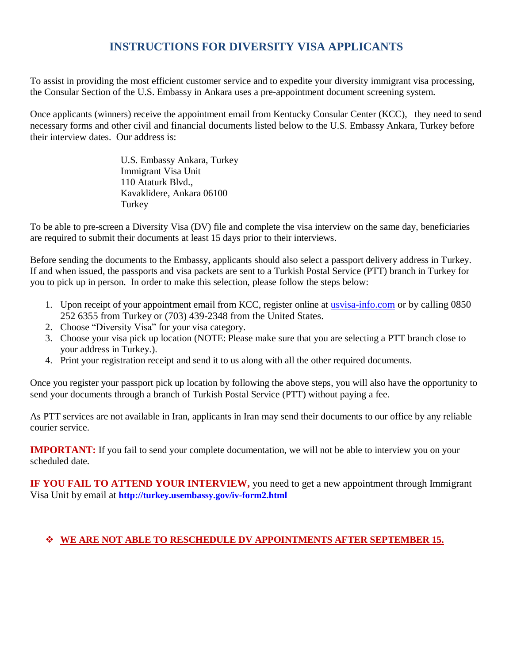# **INSTRUCTIONS FOR DIVERSITY VISA APPLICANTS**

To assist in providing the most efficient customer service and to expedite your diversity immigrant visa processing, the Consular Section of the U.S. Embassy in Ankara uses a pre-appointment document screening system.

Once applicants (winners) receive the appointment email from Kentucky Consular Center (KCC), they need to send necessary forms and other civil and financial documents listed below to the U.S. Embassy Ankara, Turkey before their interview dates. Our address is:

> U.S. Embassy Ankara, Turkey Immigrant Visa Unit 110 Ataturk Blvd., Kavaklidere, Ankara 06100 **Turkey**

To be able to pre-screen a Diversity Visa (DV) file and complete the visa interview on the same day, beneficiaries are required to submit their documents at least 15 days prior to their interviews.

Before sending the documents to the Embassy, applicants should also select a passport delivery address in Turkey. If and when issued, the passports and visa packets are sent to a Turkish Postal Service (PTT) branch in Turkey for you to pick up in person. In order to make this selection, please follow the steps below:

- 1. Upon receipt of your appointment email from KCC, register online at [usvisa-info.com](https://usvisa-info.com/) or by calling 0850 252 6355 from Turkey or (703) 439-2348 from the United States.
- 2. Choose "Diversity Visa" for your visa category.
- 3. Choose your visa pick up location (NOTE: Please make sure that you are selecting a PTT branch close to your address in Turkey.).
- 4. Print your registration receipt and send it to us along with all the other required documents.

Once you register your passport pick up location by following the above steps, you will also have the opportunity to send your documents through a branch of Turkish Postal Service (PTT) without paying a fee.

As PTT services are not available in Iran, applicants in Iran may send their documents to our office by any reliable courier service.

**IMPORTANT:** If you fail to send your complete documentation, we will not be able to interview you on your scheduled date.

**IF YOU FAIL TO ATTEND YOUR INTERVIEW,** you need to get a new appointment through Immigrant Visa Unit by email at **<http://turkey.usembassy.gov/iv-form2.html>**

#### **WE ARE NOT ABLE TO RESCHEDULE DV APPOINTMENTS AFTER SEPTEMBER 15.**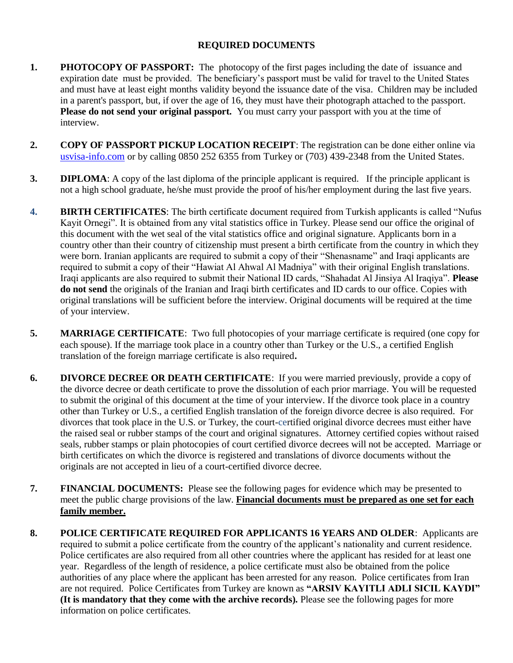#### **REQUIRED DOCUMENTS**

- **1. PHOTOCOPY OF PASSPORT:** The photocopy of the first pages including the date of issuance and expiration date must be provided. The beneficiary's passport must be valid for travel to the United States and must have at least eight months validity beyond the issuance date of the visa. Children may be included in a parent's passport, but, if over the age of 16, they must have their photograph attached to the passport. **Please do not send your original passport.** You must carry your passport with you at the time of interview.
- **2. COPY OF PASSPORT PICKUP LOCATION RECEIPT**: The registration can be done either online via [usvisa-info.com](https://usvisa-info.com/) or by calling 0850 252 6355 from Turkey or (703) 439-2348 from the United States.
- **3. DIPLOMA**: A copy of the last diploma of the principle applicant is required. If the principle applicant is not a high school graduate, he/she must provide the proof of his/her employment during the last five years.
- **4. BIRTH CERTIFICATES**: The birth certificate document required from Turkish applicants is called "Nufus Kayit Ornegi". It is obtained from any vital statistics office in Turkey. Please send our office the original of this document with the wet seal of the vital statistics office and original signature. Applicants born in a country other than their country of citizenship must present a birth certificate from the country in which they were born. Iranian applicants are required to submit a copy of their "Shenasname" and Iraqi applicants are required to submit a copy of their "Hawiat Al Ahwal Al Madniya" with their original English translations. Iraqi applicants are also required to submit their National ID cards, "Shahadat Al Jinsiya Al Iraqiya". **Please do not send** the originals of the Iranian and Iraqi birth certificates and ID cards to our office. Copies with original translations will be sufficient before the interview. Original documents will be required at the time of your interview.
- **5. MARRIAGE CERTIFICATE**: Two full photocopies of your marriage certificate is required (one copy for each spouse). If the marriage took place in a country other than Turkey or the U.S., a certified English translation of the foreign marriage certificate is also required**.**
- **6. DIVORCE DECREE OR DEATH CERTIFICATE**: If you were married previously, provide a copy of the divorce decree or death certificate to prove the dissolution of each prior marriage. You will be requested to submit the original of this document at the time of your interview. If the divorce took place in a country other than Turkey or U.S., a certified English translation of the foreign divorce decree is also required. For divorces that took place in the U.S. or Turkey, the court-certified original divorce decrees must either have the raised seal or rubber stamps of the court and original signatures. Attorney certified copies without raised seals, rubber stamps or plain photocopies of court certified divorce decrees will not be accepted. Marriage or birth certificates on which the divorce is registered and translations of divorce documents without the originals are not accepted in lieu of a court-certified divorce decree.
- **7. FINANCIAL DOCUMENTS:** Please see the following pages for evidence which may be presented to meet the public charge provisions of the law. **Financial documents must be prepared as one set for each family member.**
- **8. POLICE CERTIFICATE REQUIRED FOR APPLICANTS 16 YEARS AND OLDER**: Applicants are required to submit a police certificate from the country of the applicant's nationality and current residence. Police certificates are also required from all other countries where the applicant has resided for at least one year. Regardless of the length of residence, a police certificate must also be obtained from the police authorities of any place where the applicant has been arrested for any reason. Police certificates from Iran are not required. Police Certificates from Turkey are known as **"ARSIV KAYITLI ADLI SICIL KAYDI" (It is mandatory that they come with the archive records).** Please see the following pages for more information on police certificates.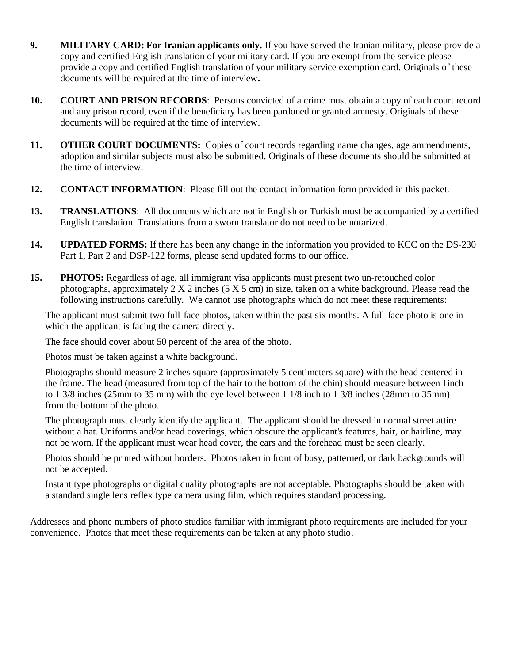- **9. MILITARY CARD: For Iranian applicants only.** If you have served the Iranian military, please provide a copy and certified English translation of your military card. If you are exempt from the service please provide a copy and certified English translation of your military service exemption card. Originals of these documents will be required at the time of interview**.**
- **10. COURT AND PRISON RECORDS**: Persons convicted of a crime must obtain a copy of each court record and any prison record, even if the beneficiary has been pardoned or granted amnesty. Originals of these documents will be required at the time of interview.
- **11. OTHER COURT DOCUMENTS:** Copies of court records regarding name changes, age ammendments, adoption and similar subjects must also be submitted. Originals of these documents should be submitted at the time of interview.
- **12. CONTACT INFORMATION**: Please fill out the contact information form provided in this packet.
- **13. TRANSLATIONS**: All documents which are not in English or Turkish must be accompanied by a certified English translation. Translations from a sworn translator do not need to be notarized.
- **14. UPDATED FORMS:** If there has been any change in the information you provided to KCC on the DS-230 Part 1, Part 2 and DSP-122 forms, please send updated forms to our office.
- **15. PHOTOS:** Regardless of age, all immigrant visa applicants must present two un-retouched color photographs, approximately  $2 X 2$  inches  $(5 X 5 cm)$  in size, taken on a white background. Please read the following instructions carefully. We cannot use photographs which do not meet these requirements:

The applicant must submit two full-face photos, taken within the past six months. A full-face photo is one in which the applicant is facing the camera directly.

The face should cover about 50 percent of the area of the photo.

Photos must be taken against a white background.

Photographs should measure 2 inches square (approximately 5 centimeters square) with the head centered in the frame. The head (measured from top of the hair to the bottom of the chin) should measure between 1inch to 1 3/8 inches (25mm to 35 mm) with the eye level between 1 1/8 inch to 1 3/8 inches (28mm to 35mm) from the bottom of the photo.

The photograph must clearly identify the applicant. The applicant should be dressed in normal street attire without a hat. Uniforms and/or head coverings, which obscure the applicant's features, hair, or hairline, may not be worn. If the applicant must wear head cover, the ears and the forehead must be seen clearly.

Photos should be printed without borders. Photos taken in front of busy, patterned, or dark backgrounds will not be accepted.

Instant type photographs or digital quality photographs are not acceptable. Photographs should be taken with a standard single lens reflex type camera using film, which requires standard processing.

Addresses and phone numbers of photo studios familiar with immigrant photo requirements are included for your convenience. Photos that meet these requirements can be taken at any photo studio.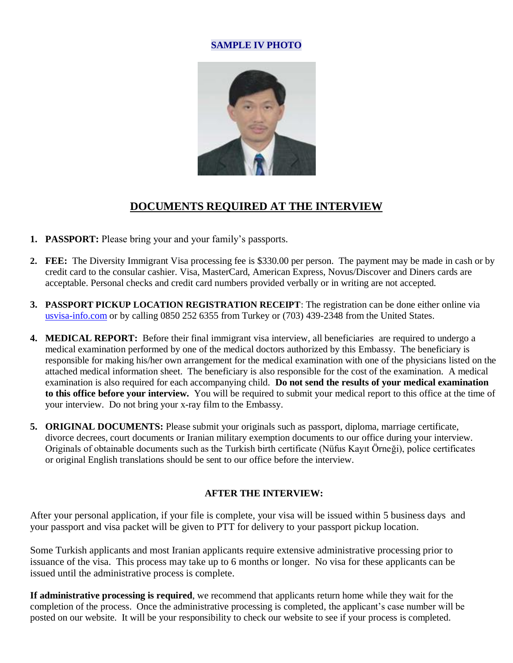#### **SAMPLE IV PHOTO**



## **DOCUMENTS REQUIRED AT THE INTERVIEW**

- **1. PASSPORT:** Please bring your and your family's passports.
- **2. FEE:** The Diversity Immigrant Visa processing fee is \$330.00 per person. The payment may be made in cash or by credit card to the consular cashier. Visa, MasterCard, American Express, Novus/Discover and Diners cards are acceptable. Personal checks and credit card numbers provided verbally or in writing are not accepted.
- **3. PASSPORT PICKUP LOCATION REGISTRATION RECEIPT**: The registration can be done either online via [usvisa-info.com](https://usvisa-info.com/) or by calling 0850 252 6355 from Turkey or (703) 439-2348 from the United States.
- **4. MEDICAL REPORT:** Before their final immigrant visa interview, all beneficiaries are required to undergo a medical examination performed by one of the medical doctors authorized by this Embassy. The beneficiary is responsible for making his/her own arrangement for the medical examination with one of the physicians listed on the attached medical information sheet. The beneficiary is also responsible for the cost of the examination. A medical examination is also required for each accompanying child. **Do not send the results of your medical examination to this office before your interview.** You will be required to submit your medical report to this office at the time of your interview. Do not bring your x-ray film to the Embassy.
- **5. ORIGINAL DOCUMENTS:** Please submit your originals such as passport, diploma, marriage certificate, divorce decrees, court documents or Iranian military exemption documents to our office during your interview. Originals of obtainable documents such as the Turkish birth certificate (Nüfus Kayıt Örneği), police certificates or original English translations should be sent to our office before the interview.

#### **AFTER THE INTERVIEW:**

After your personal application, if your file is complete, your visa will be issued within 5 business days and your passport and visa packet will be given to PTT for delivery to your passport pickup location.

Some Turkish applicants and most Iranian applicants require extensive administrative processing prior to issuance of the visa. This process may take up to 6 months or longer. No visa for these applicants can be issued until the administrative process is complete.

**If administrative processing is required**, we recommend that applicants return home while they wait for the completion of the process. Once the administrative processing is completed, the applicant's case number will be posted on our website. It will be your responsibility to check our website to see if your process is completed.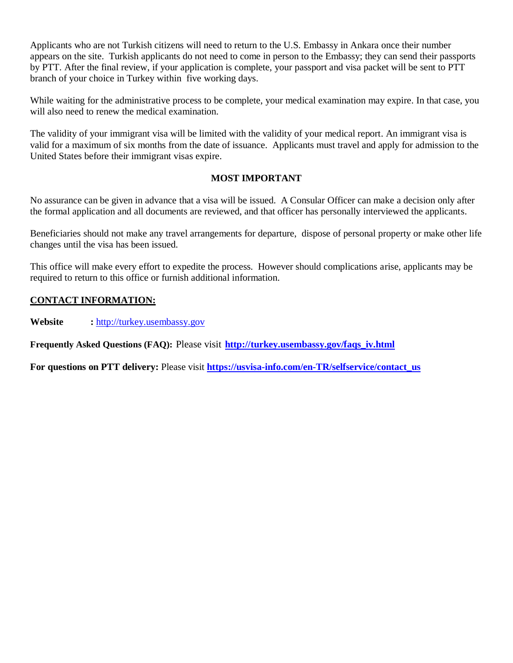Applicants who are not Turkish citizens will need to return to the U.S. Embassy in Ankara once their number appears on the site. Turkish applicants do not need to come in person to the Embassy; they can send their passports by PTT. After the final review, if your application is complete, your passport and visa packet will be sent to PTT branch of your choice in Turkey within five working days.

While waiting for the administrative process to be complete, your medical examination may expire. In that case, you will also need to renew the medical examination.

The validity of your immigrant visa will be limited with the validity of your medical report. An immigrant visa is valid for a maximum of six months from the date of issuance. Applicants must travel and apply for admission to the United States before their immigrant visas expire.

#### **MOST IMPORTANT**

No assurance can be given in advance that a visa will be issued. A Consular Officer can make a decision only after the formal application and all documents are reviewed, and that officer has personally interviewed the applicants.

Beneficiaries should not make any travel arrangements for departure, dispose of personal property or make other life changes until the visa has been issued.

This office will make every effort to expedite the process. However should complications arise, applicants may be required to return to this office or furnish additional information.

#### **CONTACT INFORMATION:**

**Website :** [http://turkey.usembassy.gov](http://turkey.usembassy.gov/)

**Frequently Asked Questions (FAQ):** Please visit **[http://turkey.usembassy.gov/faqs\\_iv.html](http://turkey.usembassy.gov/faqs_iv.html)**

**For questions on PTT delivery:** Please visit **[https://usvisa-info.com/en-TR/selfservice/contact\\_us](https://usvisa-info.com/en-TR/selfservice/contact_us)**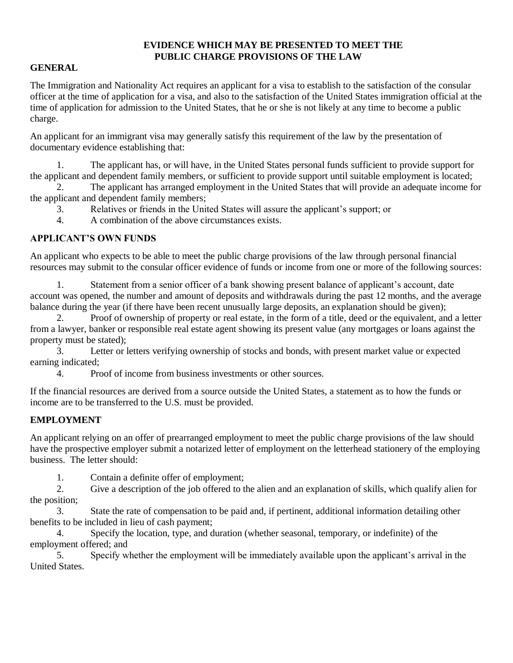#### **EVIDENCE WHICH MAY BE PRESENTED TO MEET THE PUBLIC CHARGE PROVISIONS OF THE LAW**

#### **GENERAL**

The Immigration and Nationality Act requires an applicant for a visa to establish to the satisfaction of the consular officer at the time of application for a visa, and also to the satisfaction of the United States immigration official at the time of application for admission to the United States, that he or she is not likely at any time to become a public charge.

An applicant for an immigrant visa may generally satisfy this requirement of the law by the presentation of documentary evidence establishing that:

1. The applicant has, or will have, in the United States personal funds sufficient to provide support for the applicant and dependent family members, or sufficient to provide support until suitable employment is located;

2. The applicant has arranged employment in the United States that will provide an adequate income for the applicant and dependent family members;

3. Relatives or friends in the United States will assure the applicant's support; or

4. A combination of the above circumstances exists.

#### **APPLICANT'S OWN FUNDS**

An applicant who expects to be able to meet the public charge provisions of the law through personal financial resources may submit to the consular officer evidence of funds or income from one or more of the following sources:

1. Statement from a senior officer of a bank showing present balance of applicant's account, date account was opened, the number and amount of deposits and withdrawals during the past 12 months, and the average balance during the year (if there have been recent unusually large deposits, an explanation should be given);

2. Proof of ownership of property or real estate, in the form of a title, deed or the equivalent, and a letter from a lawyer, banker or responsible real estate agent showing its present value (any mortgages or loans against the property must be stated);

3. Letter or letters verifying ownership of stocks and bonds, with present market value or expected earning indicated;

4. Proof of income from business investments or other sources.

If the financial resources are derived from a source outside the United States, a statement as to how the funds or income are to be transferred to the U.S. must be provided.

#### **EMPLOYMENT**

An applicant relying on an offer of prearranged employment to meet the public charge provisions of the law should have the prospective employer submit a notarized letter of employment on the letterhead stationery of the employing business. The letter should:

1. Contain a definite offer of employment;

2. Give a description of the job offered to the alien and an explanation of skills, which qualify alien for the position;

3. State the rate of compensation to be paid and, if pertinent, additional information detailing other benefits to be included in lieu of cash payment;

4. Specify the location, type, and duration (whether seasonal, temporary, or indefinite) of the employment offered; and

5. Specify whether the employment will be immediately available upon the applicant's arrival in the United States.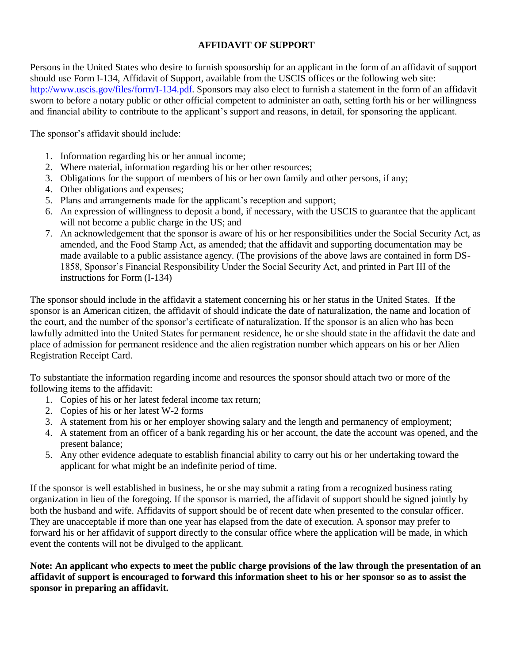#### **AFFIDAVIT OF SUPPORT**

Persons in the United States who desire to furnish sponsorship for an applicant in the form of an affidavit of support should use Form I-134, Affidavit of Support, available from the USCIS offices or the following web site: [http://www.uscis.gov/files/form/I-134.pdf.](http://www.uscis.gov/files/form/I-134.pdf) Sponsors may also elect to furnish a statement in the form of an affidavit sworn to before a notary public or other official competent to administer an oath, setting forth his or her willingness and financial ability to contribute to the applicant's support and reasons, in detail, for sponsoring the applicant.

The sponsor's affidavit should include:

- 1. Information regarding his or her annual income;
- 2. Where material, information regarding his or her other resources;
- 3. Obligations for the support of members of his or her own family and other persons, if any;
- 4. Other obligations and expenses;
- 5. Plans and arrangements made for the applicant's reception and support;
- 6. An expression of willingness to deposit a bond, if necessary, with the USCIS to guarantee that the applicant will not become a public charge in the US; and
- 7. An acknowledgement that the sponsor is aware of his or her responsibilities under the Social Security Act, as amended, and the Food Stamp Act, as amended; that the affidavit and supporting documentation may be made available to a public assistance agency. (The provisions of the above laws are contained in form DS-1858, Sponsor's Financial Responsibility Under the Social Security Act, and printed in Part III of the instructions for Form (I-134)

The sponsor should include in the affidavit a statement concerning his or her status in the United States. If the sponsor is an American citizen, the affidavit of should indicate the date of naturalization, the name and location of the court, and the number of the sponsor's certificate of naturalization. If the sponsor is an alien who has been lawfully admitted into the United States for permanent residence, he or she should state in the affidavit the date and place of admission for permanent residence and the alien registration number which appears on his or her Alien Registration Receipt Card.

To substantiate the information regarding income and resources the sponsor should attach two or more of the following items to the affidavit:

- 1. Copies of his or her latest federal income tax return;
- 2. Copies of his or her latest W-2 forms
- 3. A statement from his or her employer showing salary and the length and permanency of employment;
- 4. A statement from an officer of a bank regarding his or her account, the date the account was opened, and the present balance;
- 5. Any other evidence adequate to establish financial ability to carry out his or her undertaking toward the applicant for what might be an indefinite period of time.

If the sponsor is well established in business, he or she may submit a rating from a recognized business rating organization in lieu of the foregoing. If the sponsor is married, the affidavit of support should be signed jointly by both the husband and wife. Affidavits of support should be of recent date when presented to the consular officer. They are unacceptable if more than one year has elapsed from the date of execution. A sponsor may prefer to forward his or her affidavit of support directly to the consular office where the application will be made, in which event the contents will not be divulged to the applicant.

**Note: An applicant who expects to meet the public charge provisions of the law through the presentation of an affidavit of support is encouraged to forward this information sheet to his or her sponsor so as to assist the sponsor in preparing an affidavit.**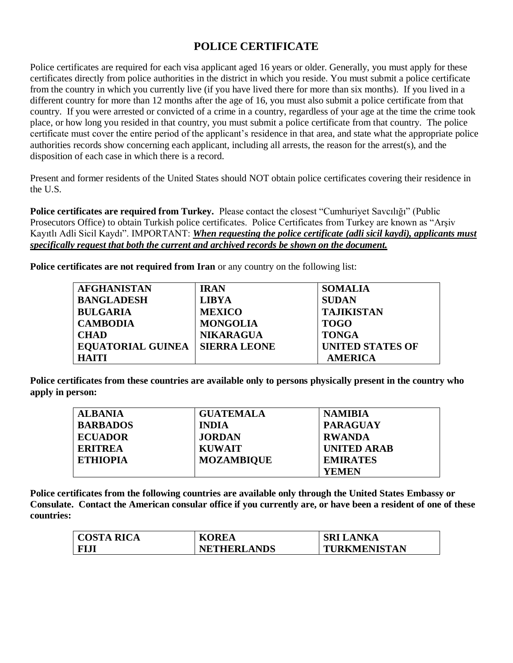## **POLICE CERTIFICATE**

Police certificates are required for each visa applicant aged 16 years or older. Generally, you must apply for these certificates directly from police authorities in the district in which you reside. You must submit a police certificate from the country in which you currently live (if you have lived there for more than six months). If you lived in a different country for more than 12 months after the age of 16, you must also submit a police certificate from that country. If you were arrested or convicted of a crime in a country, regardless of your age at the time the crime took place, or how long you resided in that country, you must submit a police certificate from that country. The police certificate must cover the entire period of the applicant's residence in that area, and state what the appropriate police authorities records show concerning each applicant, including all arrests, the reason for the arrest(s), and the disposition of each case in which there is a record.

Present and former residents of the United States should NOT obtain police certificates covering their residence in the U.S.

**Police certificates are required from Turkey.** Please contact the closest "Cumhuriyet Savcılığı" (Public Prosecutors Office) to obtain Turkish police certificates. Police Certificates from Turkey are known as "Arşiv Kayıtlı Adli Sicil Kaydı". IMPORTANT: *When requesting the police certificate (adli sicil kaydi), applicants must specifically request that both the current and archived records be shown on the document.*

**Police certificates are not required from Iran** or any country on the following list:

| <b>AFGHANISTAN</b>       | <b>IRAN</b>         | <b>SOMALIA</b>          |
|--------------------------|---------------------|-------------------------|
| <b>BANGLADESH</b>        | <b>LIBYA</b>        | <b>SUDAN</b>            |
| <b>BULGARIA</b>          | <b>MEXICO</b>       | <b>TAJIKISTAN</b>       |
| <b>CAMBODIA</b>          | <b>MONGOLIA</b>     | <b>TOGO</b>             |
| <b>CHAD</b>              | <b>NIKARAGUA</b>    | <b>TONGA</b>            |
| <b>EQUATORIAL GUINEA</b> | <b>SIERRA LEONE</b> | <b>UNITED STATES OF</b> |
| <b>HAITI</b>             |                     | <b>AMERICA</b>          |

**Police certificates from these countries are available only to persons physically present in the country who apply in person:**

| <b>ALBANIA</b>  | <b>GUATEMALA</b>  | <b>NAMIBIA</b>     |
|-----------------|-------------------|--------------------|
| <b>BARBADOS</b> | <b>INDIA</b>      | <b>PARAGUAY</b>    |
| <b>ECUADOR</b>  | <b>JORDAN</b>     | <b>RWANDA</b>      |
| <b>ERITREA</b>  | <b>KUWAIT</b>     | <b>UNITED ARAB</b> |
| <b>ETHIOPIA</b> | <b>MOZAMBIQUE</b> | <b>EMIRATES</b>    |
|                 |                   | YEMEN              |

**Police certificates from the following countries are available only through the United States Embassy or Consulate. Contact the American consular office if you currently are, or have been a resident of one of these countries:**

| <b>COSTA RICA</b> | <b>KOREA</b>       | <b>SRI LANKA</b>    |
|-------------------|--------------------|---------------------|
| <b>FIJI</b>       | <b>NETHERLANDS</b> | <b>TURKMENISTAN</b> |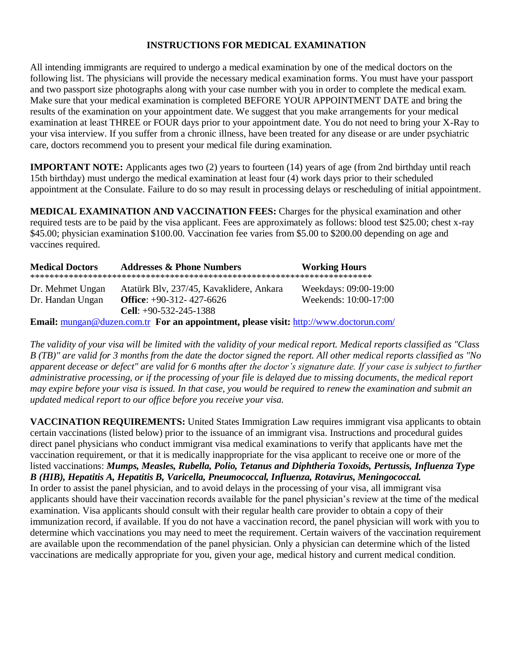#### **INSTRUCTIONS FOR MEDICAL EXAMINATION**

All intending immigrants are required to undergo a medical examination by one of the medical doctors on the following list. The physicians will provide the necessary medical examination forms. You must have your passport and two passport size photographs along with your case number with you in order to complete the medical exam. Make sure that your medical examination is completed BEFORE YOUR APPOINTMENT DATE and bring the results of the examination on your appointment date. We suggest that you make arrangements for your medical examination at least THREE or FOUR days prior to your appointment date. You do not need to bring your X-Ray to your visa interview. If you suffer from a chronic illness, have been treated for any disease or are under psychiatric care, doctors recommend you to present your medical file during examination.

**IMPORTANT NOTE:** Applicants ages two (2) years to fourteen (14) years of age (from 2nd birthday until reach 15th birthday) must undergo the medical examination at least four (4) work days prior to their scheduled appointment at the Consulate. Failure to do so may result in processing delays or rescheduling of initial appointment.

**MEDICAL EXAMINATION AND VACCINATION FEES:** Charges for the physical examination and other required tests are to be paid by the visa applicant. Fees are approximately as follows: blood test \$25.00; chest x-ray \$45.00; physician examination \$100.00. Vaccination fee varies from \$5.00 to \$200.00 depending on age and vaccines required.

| <b>Medical Doctors</b>                                                                       | <b>Addresses &amp; Phone Numbers</b>     | <b>Working Hours</b>  |  |
|----------------------------------------------------------------------------------------------|------------------------------------------|-----------------------|--|
| Dr. Mehmet Ungan                                                                             | Atatürk Blv, 237/45, Kavaklidere, Ankara | Weekdays: 09:00-19:00 |  |
| Dr. Handan Ungan                                                                             | Office: $+90-312-427-6626$               | Weekends: 10:00-17:00 |  |
|                                                                                              | Cell: $+90-532-245-1388$                 |                       |  |
| <b>Email:</b> mungan@duzen.com.tr For an appointment, please visit: http://www.doctorun.com/ |                                          |                       |  |

*The validity of your visa will be limited with the validity of your medical report. Medical reports classified as "Class B (TB)" are valid for 3 months from the date the doctor signed the report. All other medical reports classified as "No apparent decease or defect" are valid for 6 months after the doctor's signature date. If your case is subject to further administrative processing, or if the processing of your file is delayed due to missing documents, the medical report may expire before your visa is issued. In that case, you would be required to renew the examination and submit an updated medical report to our office before you receive your visa.* 

**VACCINATION REQUIREMENTS:** United States Immigration Law requires immigrant visa applicants to obtain certain vaccinations (listed below) prior to the issuance of an immigrant visa. Instructions and procedural guides direct panel physicians who conduct immigrant visa medical examinations to verify that applicants have met the vaccination requirement, or that it is medically inappropriate for the visa applicant to receive one or more of the listed vaccinations: *Mumps, Measles, Rubella, Polio, Tetanus and Diphtheria Toxoids, Pertussis, Influenza Type B (HIB), Hepatitis A, Hepatitis B, Varicella, Pneumococcal, Influenza, Rotavirus, Meningococcal.*  In order to assist the panel physician, and to avoid delays in the processing of your visa, all immigrant visa applicants should have their vaccination records available for the panel physician's review at the time of the medical examination. Visa applicants should consult with their regular health care provider to obtain a copy of their immunization record, if available. If you do not have a vaccination record, the panel physician will work with you to determine which vaccinations you may need to meet the requirement. Certain waivers of the vaccination requirement are available upon the recommendation of the panel physician. Only a physician can determine which of the listed vaccinations are medically appropriate for you, given your age, medical history and current medical condition.